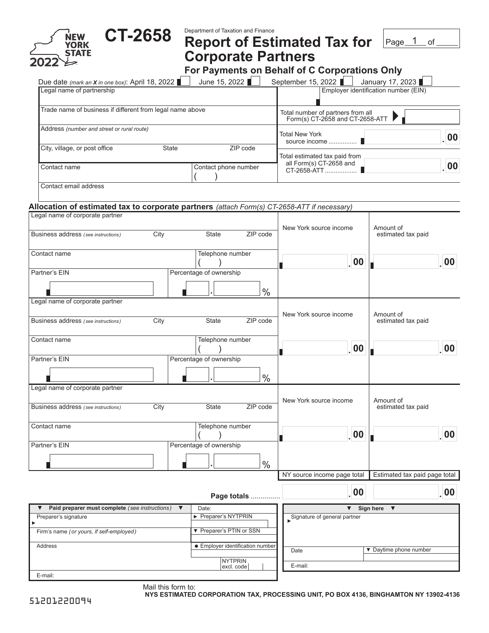| <b>CT-2658</b><br><b>NEW</b>                                                                | Department of Taxation and Finance                                   |                                                |                                                          |  |
|---------------------------------------------------------------------------------------------|----------------------------------------------------------------------|------------------------------------------------|----------------------------------------------------------|--|
| <b>YORK<br/>STATE</b>                                                                       |                                                                      | <b>Report of Estimated Tax for</b>             | Page_1<br>of                                             |  |
|                                                                                             | <b>Corporate Partners</b>                                            |                                                |                                                          |  |
|                                                                                             |                                                                      | For Payments on Behalf of C Corporations Only  |                                                          |  |
| Due date (mark an X in one box): April 18, 2022<br>Legal name of partnership                | June 15, 2022                                                        | September 15, 2022 <b>■</b>                    | January 17, 2023<br>Employer identification number (EIN) |  |
|                                                                                             |                                                                      |                                                |                                                          |  |
| Trade name of business if different from legal name above                                   | Total number of partners from all<br>Form(s) CT-2658 and CT-2658-ATT |                                                |                                                          |  |
| Address (number and street or rural route)                                                  |                                                                      | <b>Total New York</b>                          | 00                                                       |  |
| City, village, or post office<br><b>State</b>                                               | ZIP code                                                             | source income<br>Total estimated tax paid from |                                                          |  |
| Contact name                                                                                | Contact phone number                                                 | all Form(s) CT-2658 and<br>00                  |                                                          |  |
| Contact email address                                                                       |                                                                      |                                                |                                                          |  |
| Allocation of estimated tax to corporate partners (attach Form(s) CT-2658-ATT if necessary) |                                                                      |                                                |                                                          |  |
| Legal name of corporate partner                                                             |                                                                      |                                                |                                                          |  |
| City<br>Business address (see instructions)                                                 | ZIP code<br>State                                                    | New York source income                         | Amount of<br>estimated tax paid                          |  |
| Contact name                                                                                | Telephone number                                                     | .00                                            | $\overline{\phantom{0}}$ 00                              |  |
| Partner's EIN                                                                               | Percentage of ownership                                              |                                                |                                                          |  |
|                                                                                             | $\frac{0}{0}$                                                        |                                                |                                                          |  |
| Legal name of corporate partner                                                             |                                                                      |                                                |                                                          |  |
|                                                                                             |                                                                      | New York source income                         | Amount of                                                |  |
| City<br>Business address (see instructions)                                                 | ZIP code<br><b>State</b>                                             |                                                | estimated tax paid                                       |  |
| Contact name                                                                                | Telephone number                                                     | $\vert$ 00                                     | $\overline{\phantom{0}}$ 00                              |  |
| Partner's EIN                                                                               | Percentage of ownership                                              |                                                |                                                          |  |
|                                                                                             | $\frac{0}{0}$                                                        |                                                |                                                          |  |
| Legal name of corporate partner                                                             |                                                                      |                                                |                                                          |  |
| City<br>Business address (see instructions)                                                 | State<br>ZIP code                                                    | New York source income                         | Amount of<br>estimated tax paid                          |  |
|                                                                                             |                                                                      |                                                |                                                          |  |
| Contact name                                                                                | Telephone number                                                     |                                                |                                                          |  |
| Partner's EIN                                                                               | Percentage of ownership                                              | .00                                            | 00                                                       |  |
|                                                                                             |                                                                      |                                                |                                                          |  |
|                                                                                             | $\frac{0}{0}$                                                        | NY source income page total                    | Estimated tax paid page total                            |  |
|                                                                                             |                                                                      |                                                |                                                          |  |
|                                                                                             | Page totals                                                          | 00                                             | 00                                                       |  |
| Paid preparer must complete (see instructions) $\blacktriangledown$                         | Date:                                                                | $\blacktriangledown$                           | Sign here<br>$\blacktriangledown$                        |  |
| Preparer's signature<br>▶                                                                   | Preparer's NYTPRIN                                                   | Signature of general partner                   |                                                          |  |
| Firm's name (or yours, if self-employed)                                                    | ▼ Preparer's PTIN or SSN                                             |                                                |                                                          |  |
| Address                                                                                     | • Employer identification number                                     | Date                                           | ▼ Daytime phone number                                   |  |
|                                                                                             | <b>NYTPRIN</b><br>excl. code                                         | E-mail:                                        |                                                          |  |
| E-mail:                                                                                     |                                                                      |                                                |                                                          |  |

Mail this form to: